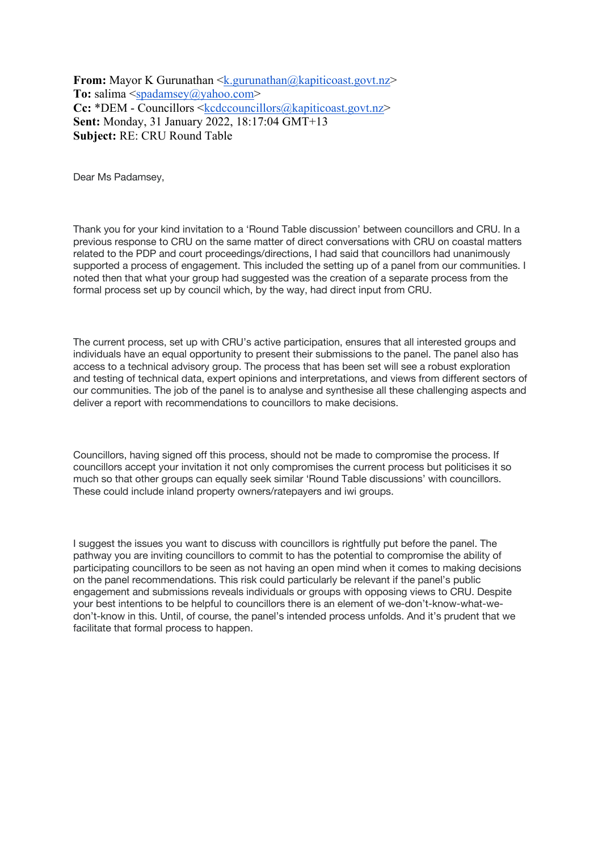**From:** Mayor K Gurunathan <k.gurunathan@kapiticoast.govt.nz> **To:** salima <spadamsey@yahoo.com> **Cc:** \*DEM - Councillors <kcdccouncillors@kapiticoast.govt.nz> **Sent:** Monday, 31 January 2022, 18:17:04 GMT+13 **Subject:** RE: CRU Round Table

Dear Ms Padamsey,

Thank you for your kind invitation to a 'Round Table discussion' between councillors and CRU. In a previous response to CRU on the same matter of direct conversations with CRU on coastal matters related to the PDP and court proceedings/directions, I had said that councillors had unanimously supported a process of engagement. This included the setting up of a panel from our communities. I noted then that what your group had suggested was the creation of a separate process from the formal process set up by council which, by the way, had direct input from CRU.

The current process, set up with CRU's active participation, ensures that all interested groups and individuals have an equal opportunity to present their submissions to the panel. The panel also has access to a technical advisory group. The process that has been set will see a robust exploration and testing of technical data, expert opinions and interpretations, and views from different sectors of our communities. The job of the panel is to analyse and synthesise all these challenging aspects and deliver a report with recommendations to councillors to make decisions.

Councillors, having signed off this process, should not be made to compromise the process. If councillors accept your invitation it not only compromises the current process but politicises it so much so that other groups can equally seek similar 'Round Table discussions' with councillors. These could include inland property owners/ratepayers and iwi groups.

I suggest the issues you want to discuss with councillors is rightfully put before the panel. The pathway you are inviting councillors to commit to has the potential to compromise the ability of participating councillors to be seen as not having an open mind when it comes to making decisions on the panel recommendations. This risk could particularly be relevant if the panel's public engagement and submissions reveals individuals or groups with opposing views to CRU. Despite your best intentions to be helpful to councillors there is an element of we-don't-know-what-wedon't-know in this. Until, of course, the panel's intended process unfolds. And it's prudent that we facilitate that formal process to happen.